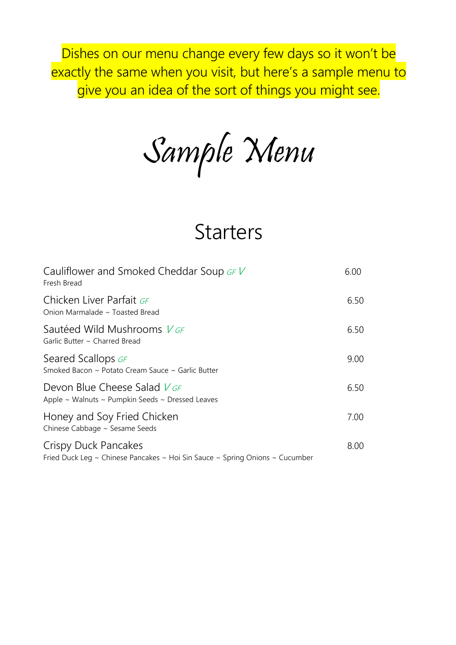Dishes on our menu change every few days so it won't be exactly the same when you visit, but here's a sample menu to give you an idea of the sort of things you might see.

Sample Menu

# **Starters**

| Cauliflower and Smoked Cheddar Soup $GFV$<br>Fresh Bread                                             | 6.00 |
|------------------------------------------------------------------------------------------------------|------|
| Chicken Liver Parfait GF<br>Onion Marmalade ~ Toasted Bread                                          | 6.50 |
| Sautéed Wild Mushrooms V GF<br>Garlic Butter ~ Charred Bread                                         | 6.50 |
| Seared Scallops GF<br>Smoked Bacon ~ Potato Cream Sauce ~ Garlic Butter                              | 9.00 |
| Devon Blue Cheese Salad $V$ GF<br>Apple $\sim$ Walnuts $\sim$ Pumpkin Seeds $\sim$ Dressed Leaves    | 6.50 |
| Honey and Soy Fried Chicken<br>Chinese Cabbage ~ Sesame Seeds                                        | 7.00 |
| Crispy Duck Pancakes<br>Fried Duck Leg ~ Chinese Pancakes ~ Hoi Sin Sauce ~ Spring Onions ~ Cucumber | 8.00 |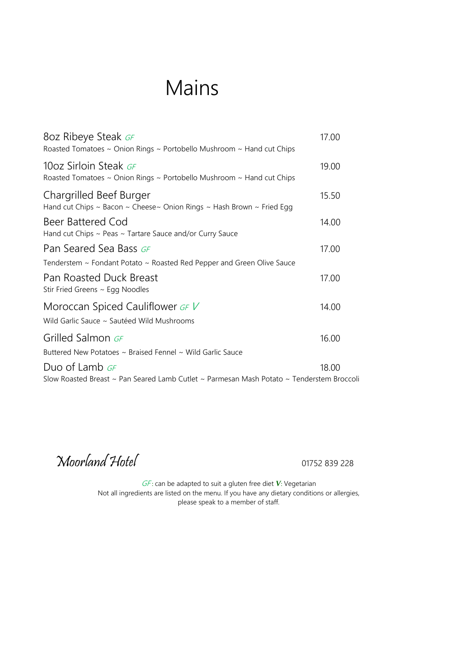# Mains

| 8oz Ribeye Steak GF<br>Roasted Tomatoes $\sim$ Onion Rings $\sim$ Portobello Mushroom $\sim$ Hand cut Chips | 17.00 |
|-------------------------------------------------------------------------------------------------------------|-------|
| 10oz Sirloin Steak GF<br>Roasted Tomatoes ~ Onion Rings ~ Portobello Mushroom ~ Hand cut Chips              | 19.00 |
| Chargrilled Beef Burger<br>Hand cut Chips ~ Bacon ~ Cheese~ Onion Rings ~ Hash Brown ~ Fried Egg            | 15.50 |
| Beer Battered Cod<br>Hand cut Chips ~ Peas ~ Tartare Sauce and/or Curry Sauce                               | 14.00 |
| Pan Seared Sea Bass GF                                                                                      | 17.00 |
| Tenderstem ~ Fondant Potato ~ Roasted Red Pepper and Green Olive Sauce                                      |       |
| Pan Roasted Duck Breast<br>Stir Fried Greens ~ Egg Noodles                                                  | 17.00 |
| Moroccan Spiced Cauliflower GFV<br>Wild Garlic Sauce ~ Sautéed Wild Mushrooms                               | 14.00 |
| Grilled Salmon GF                                                                                           | 16.00 |
| Buttered New Potatoes ~ Braised Fennel ~ Wild Garlic Sauce                                                  |       |
| Duo of Lamb GF                                                                                              | 18.00 |
| Slow Roasted Breast ~ Pan Seared Lamb Cutlet ~ Parmesan Mash Potato ~ Tenderstem Broccoli                   |       |

Moorland Hotel 01752 839 228

GF: can be adapted to suit a gluten free diet V: Vegetarian Not all ingredients are listed on the menu. If you have any dietary conditions or allergies, please speak to a member of staff.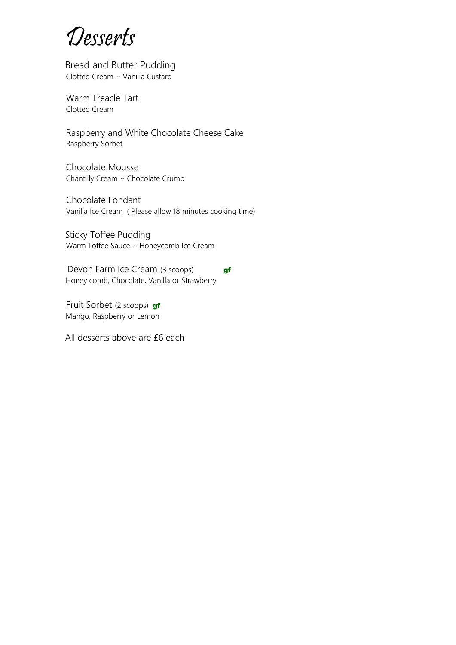Desserts

 Bread and Butter Pudding Clotted Cream ~ Vanilla Custard

Warm Treacle Tart Clotted Cream

Raspberry and White Chocolate Cheese Cake Raspberry Sorbet

Chocolate Mousse Chantilly Cream ~ Chocolate Crumb

 Chocolate Fondant Vanilla Ice Cream ( Please allow 18 minutes cooking time)

 Sticky Toffee Pudding Warm Toffee Sauce ~ Honeycomb Ice Cream

Devon Farm Ice Cream (3 scoops) **gf** Honey comb, Chocolate, Vanilla or Strawberry

Fruit Sorbet (2 scoops) gf Mango, Raspberry or Lemon

All desserts above are £6 each